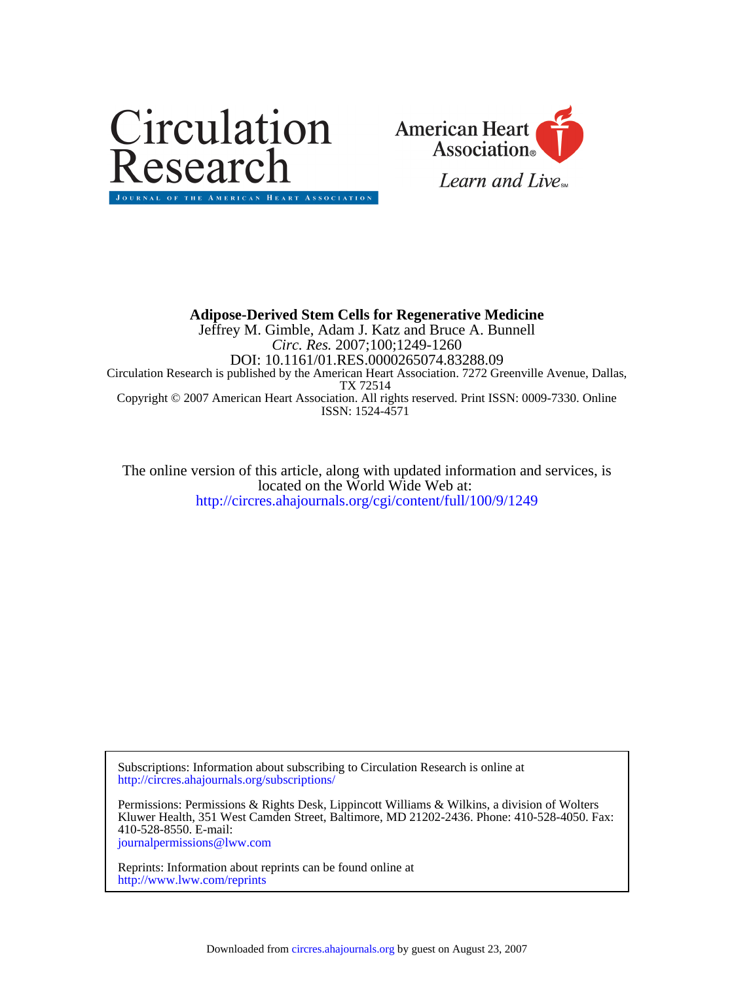



ISSN: 1524-4571 Copyright © 2007 American Heart Association. All rights reserved. Print ISSN: 0009-7330. Online TX 72514 Circulation Research is published by the American Heart Association. 7272 Greenville Avenue, Dallas, DOI: 10.1161/01.RES.0000265074.83288.09 *Circ. Res.* 2007;100;1249-1260 Jeffrey M. Gimble, Adam J. Katz and Bruce A. Bunnell **Adipose-Derived Stem Cells for Regenerative Medicine**

<http://circres.ahajournals.org/cgi/content/full/100/9/1249> located on the World Wide Web at: The online version of this article, along with updated information and services, is

<http://circres.ahajournals.org/subscriptions/> Subscriptions: Information about subscribing to Circulation Research is online at

[journalpermissions@lww.com](mailto:journalpermissions@lww.com) 410-528-8550. E-mail: Kluwer Health, 351 West Camden Street, Baltimore, MD 21202-2436. Phone: 410-528-4050. Fax: Permissions: Permissions & Rights Desk, Lippincott Williams & Wilkins, a division of Wolters

<http://www.lww.com/reprints> Reprints: Information about reprints can be found online at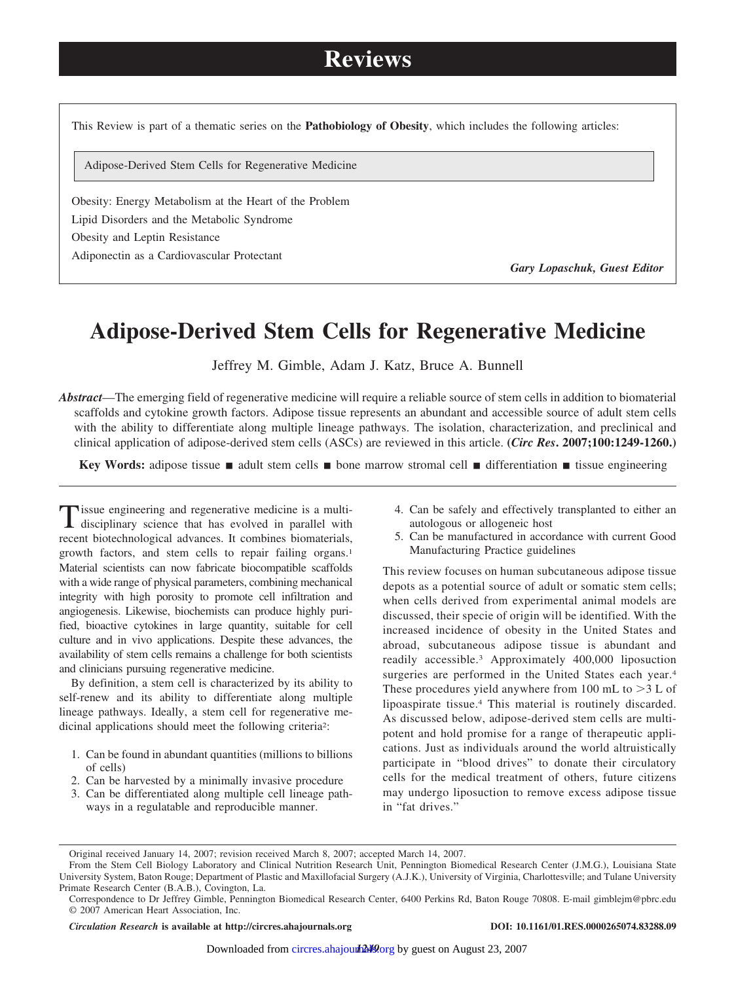## **Reviews**

This Review is part of a thematic series on the **Pathobiology of Obesity**, which includes the following articles:

Adipose-Derived Stem Cells for Regenerative Medicine

Obesity: Energy Metabolism at the Heart of the Problem Lipid Disorders and the Metabolic Syndrome Obesity and Leptin Resistance Adiponectin as a Cardiovascular Protectant

*Gary Lopaschuk, Guest Editor*

# **Adipose-Derived Stem Cells for Regenerative Medicine**

Jeffrey M. Gimble, Adam J. Katz, Bruce A. Bunnell

*Abstract*—The emerging field of regenerative medicine will require a reliable source of stem cells in addition to biomaterial scaffolds and cytokine growth factors. Adipose tissue represents an abundant and accessible source of adult stem cells with the ability to differentiate along multiple lineage pathways. The isolation, characterization, and preclinical and clinical application of adipose-derived stem cells (ASCs) are reviewed in this article. **(***Circ Res***. 2007;100:1249-1260.)**

**Key Words:** adipose tissue ■ adult stem cells ■ bone marrow stromal cell ■ differentiation ■ tissue engineering

Tissue engineering and regenerative medicine is a multidisciplinary science that has evolved in parallel with recent biotechnological advances. It combines biomaterials, growth factors, and stem cells to repair failing organs.1 Material scientists can now fabricate biocompatible scaffolds with a wide range of physical parameters, combining mechanical integrity with high porosity to promote cell infiltration and angiogenesis. Likewise, biochemists can produce highly purified, bioactive cytokines in large quantity, suitable for cell culture and in vivo applications. Despite these advances, the availability of stem cells remains a challenge for both scientists and clinicians pursuing regenerative medicine.

By definition, a stem cell is characterized by its ability to self-renew and its ability to differentiate along multiple lineage pathways. Ideally, a stem cell for regenerative medicinal applications should meet the following criteria2:

- 1. Can be found in abundant quantities (millions to billions of cells)
- 2. Can be harvested by a minimally invasive procedure
- 3. Can be differentiated along multiple cell lineage pathways in a regulatable and reproducible manner.
- 4. Can be safely and effectively transplanted to either an autologous or allogeneic host
- 5. Can be manufactured in accordance with current Good Manufacturing Practice guidelines

This review focuses on human subcutaneous adipose tissue depots as a potential source of adult or somatic stem cells; when cells derived from experimental animal models are discussed, their specie of origin will be identified. With the increased incidence of obesity in the United States and abroad, subcutaneous adipose tissue is abundant and readily accessible.3 Approximately 400,000 liposuction surgeries are performed in the United States each year.<sup>4</sup> These procedures yield anywhere from 100 mL to  $>$ 3 L of lipoaspirate tissue.4 This material is routinely discarded. As discussed below, adipose-derived stem cells are multipotent and hold promise for a range of therapeutic applications. Just as individuals around the world altruistically participate in "blood drives" to donate their circulatory cells for the medical treatment of others, future citizens may undergo liposuction to remove excess adipose tissue in "fat drives."

*Circulation Research* **is available at http://circres.ahajournals.org DOI: 10.1161/01.RES.0000265074.83288.09**

Original received January 14, 2007; revision received March 8, 2007; accepted March 14, 2007.

From the Stem Cell Biology Laboratory and Clinical Nutrition Research Unit, Pennington Biomedical Research Center (J.M.G.), Louisiana State University System, Baton Rouge; Department of Plastic and Maxillofacial Surgery (A.J.K.), University of Virginia, Charlottesville; and Tulane University Primate Research Center (B.A.B.), Covington, La.

Correspondence to Dr Jeffrey Gimble, Pennington Biomedical Research Center, 6400 Perkins Rd, Baton Rouge 70808. E-mail gimblejm@pbrc.edu © 2007 American Heart Association, Inc.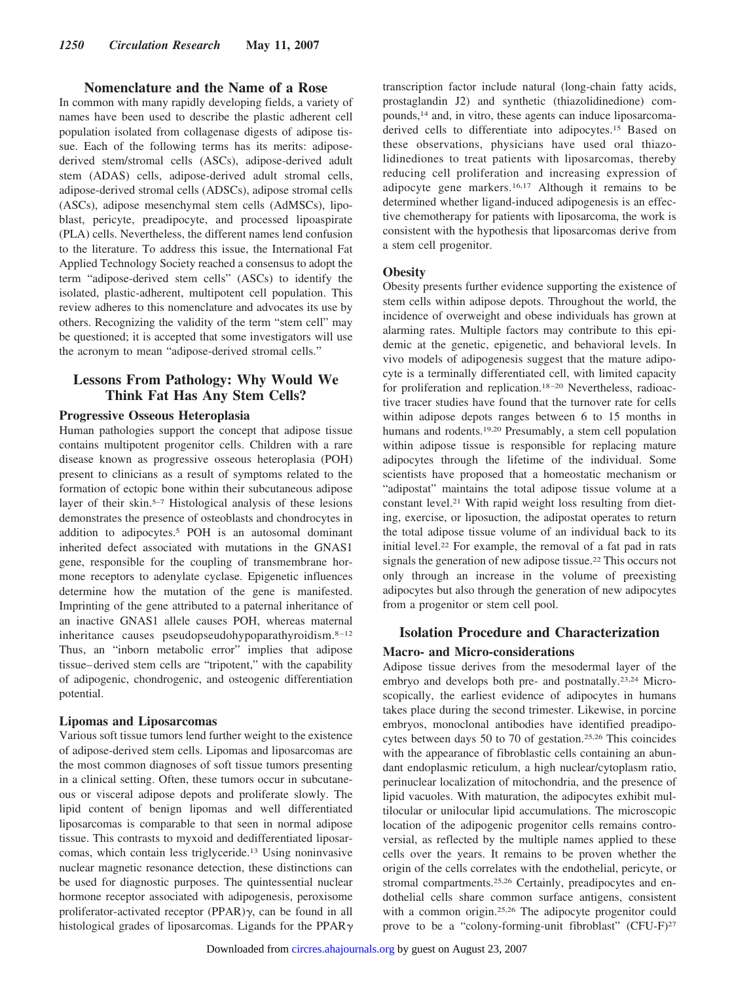## **Nomenclature and the Name of a Rose**

In common with many rapidly developing fields, a variety of names have been used to describe the plastic adherent cell population isolated from collagenase digests of adipose tissue. Each of the following terms has its merits: adiposederived stem/stromal cells (ASCs), adipose-derived adult stem (ADAS) cells, adipose-derived adult stromal cells, adipose-derived stromal cells (ADSCs), adipose stromal cells (ASCs), adipose mesenchymal stem cells (AdMSCs), lipoblast, pericyte, preadipocyte, and processed lipoaspirate (PLA) cells. Nevertheless, the different names lend confusion to the literature. To address this issue, the International Fat Applied Technology Society reached a consensus to adopt the term "adipose-derived stem cells" (ASCs) to identify the isolated, plastic-adherent, multipotent cell population. This review adheres to this nomenclature and advocates its use by others. Recognizing the validity of the term "stem cell" may be questioned; it is accepted that some investigators will use the acronym to mean "adipose-derived stromal cells."

## **Lessons From Pathology: Why Would We Think Fat Has Any Stem Cells?**

## **Progressive Osseous Heteroplasia**

Human pathologies support the concept that adipose tissue contains multipotent progenitor cells. Children with a rare disease known as progressive osseous heteroplasia (POH) present to clinicians as a result of symptoms related to the formation of ectopic bone within their subcutaneous adipose layer of their skin.<sup>5–7</sup> Histological analysis of these lesions demonstrates the presence of osteoblasts and chondrocytes in addition to adipocytes.5 POH is an autosomal dominant inherited defect associated with mutations in the GNAS1 gene, responsible for the coupling of transmembrane hormone receptors to adenylate cyclase. Epigenetic influences determine how the mutation of the gene is manifested. Imprinting of the gene attributed to a paternal inheritance of an inactive GNAS1 allele causes POH, whereas maternal inheritance causes pseudopseudohypoparathyroidism.<sup>8-12</sup> Thus, an "inborn metabolic error" implies that adipose tissue– derived stem cells are "tripotent," with the capability of adipogenic, chondrogenic, and osteogenic differentiation potential.

#### **Lipomas and Liposarcomas**

Various soft tissue tumors lend further weight to the existence of adipose-derived stem cells. Lipomas and liposarcomas are the most common diagnoses of soft tissue tumors presenting in a clinical setting. Often, these tumors occur in subcutaneous or visceral adipose depots and proliferate slowly. The lipid content of benign lipomas and well differentiated liposarcomas is comparable to that seen in normal adipose tissue. This contrasts to myxoid and dedifferentiated liposarcomas, which contain less triglyceride.13 Using noninvasive nuclear magnetic resonance detection, these distinctions can be used for diagnostic purposes. The quintessential nuclear hormone receptor associated with adipogenesis, peroxisome proliferator-activated receptor (PPAR) $\gamma$ , can be found in all histological grades of liposarcomas. Ligands for the PPAR $\gamma$  transcription factor include natural (long-chain fatty acids, prostaglandin J2) and synthetic (thiazolidinedione) compounds,14 and, in vitro, these agents can induce liposarcomaderived cells to differentiate into adipocytes.15 Based on these observations, physicians have used oral thiazolidinediones to treat patients with liposarcomas, thereby reducing cell proliferation and increasing expression of adipocyte gene markers.16,17 Although it remains to be determined whether ligand-induced adipogenesis is an effective chemotherapy for patients with liposarcoma, the work is consistent with the hypothesis that liposarcomas derive from a stem cell progenitor.

## **Obesity**

Obesity presents further evidence supporting the existence of stem cells within adipose depots. Throughout the world, the incidence of overweight and obese individuals has grown at alarming rates. Multiple factors may contribute to this epidemic at the genetic, epigenetic, and behavioral levels. In vivo models of adipogenesis suggest that the mature adipocyte is a terminally differentiated cell, with limited capacity for proliferation and replication.<sup>18-20</sup> Nevertheless, radioactive tracer studies have found that the turnover rate for cells within adipose depots ranges between 6 to 15 months in humans and rodents.19,20 Presumably, a stem cell population within adipose tissue is responsible for replacing mature adipocytes through the lifetime of the individual. Some scientists have proposed that a homeostatic mechanism or "adipostat" maintains the total adipose tissue volume at a constant level.21 With rapid weight loss resulting from dieting, exercise, or liposuction, the adipostat operates to return the total adipose tissue volume of an individual back to its initial level.22 For example, the removal of a fat pad in rats signals the generation of new adipose tissue.22 This occurs not only through an increase in the volume of preexisting adipocytes but also through the generation of new adipocytes from a progenitor or stem cell pool.

## **Isolation Procedure and Characterization**

## **Macro- and Micro-considerations**

Adipose tissue derives from the mesodermal layer of the embryo and develops both pre- and postnatally.23,24 Microscopically, the earliest evidence of adipocytes in humans takes place during the second trimester. Likewise, in porcine embryos, monoclonal antibodies have identified preadipocytes between days 50 to 70 of gestation.25,26 This coincides with the appearance of fibroblastic cells containing an abundant endoplasmic reticulum, a high nuclear/cytoplasm ratio, perinuclear localization of mitochondria, and the presence of lipid vacuoles. With maturation, the adipocytes exhibit multilocular or unilocular lipid accumulations. The microscopic location of the adipogenic progenitor cells remains controversial, as reflected by the multiple names applied to these cells over the years. It remains to be proven whether the origin of the cells correlates with the endothelial, pericyte, or stromal compartments.<sup>25,26</sup> Certainly, preadipocytes and endothelial cells share common surface antigens, consistent with a common origin.<sup>25,26</sup> The adipocyte progenitor could prove to be a "colony-forming-unit fibroblast" (CFU-F)<sup>27</sup>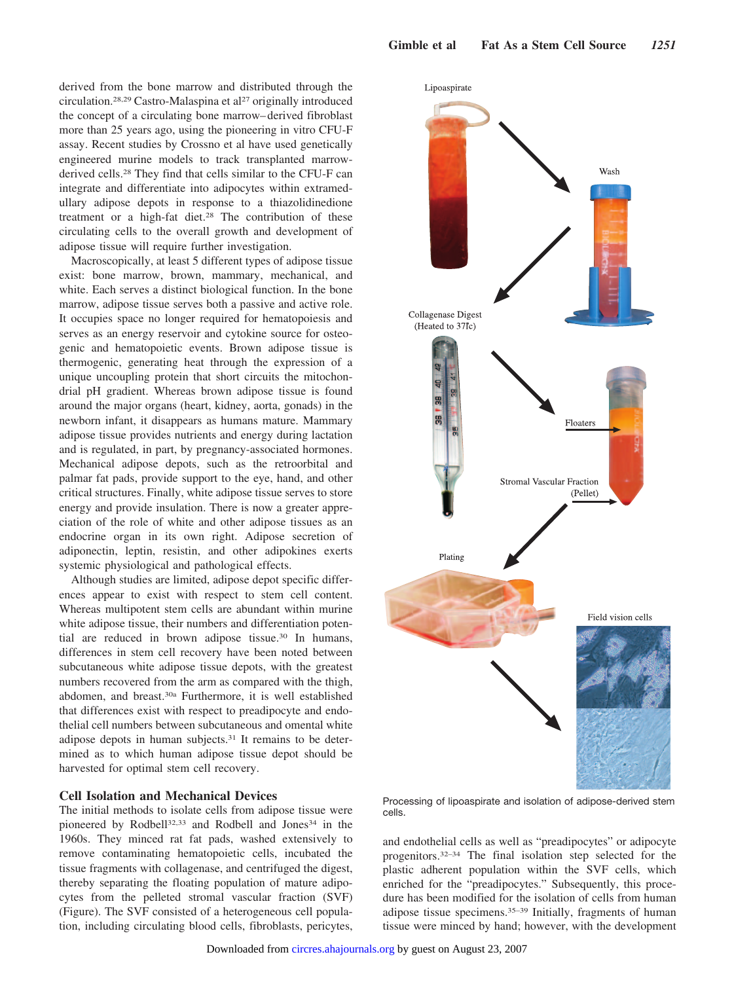derived from the bone marrow and distributed through the circulation.<sup>28,29</sup> Castro-Malaspina et al<sup>27</sup> originally introduced the concept of a circulating bone marrow– derived fibroblast more than 25 years ago, using the pioneering in vitro CFU-F assay. Recent studies by Crossno et al have used genetically engineered murine models to track transplanted marrowderived cells.28 They find that cells similar to the CFU-F can integrate and differentiate into adipocytes within extramedullary adipose depots in response to a thiazolidinedione treatment or a high-fat diet.28 The contribution of these circulating cells to the overall growth and development of adipose tissue will require further investigation.

Macroscopically, at least 5 different types of adipose tissue exist: bone marrow, brown, mammary, mechanical, and white. Each serves a distinct biological function. In the bone marrow, adipose tissue serves both a passive and active role. It occupies space no longer required for hematopoiesis and serves as an energy reservoir and cytokine source for osteogenic and hematopoietic events. Brown adipose tissue is thermogenic, generating heat through the expression of a unique uncoupling protein that short circuits the mitochondrial pH gradient. Whereas brown adipose tissue is found around the major organs (heart, kidney, aorta, gonads) in the newborn infant, it disappears as humans mature. Mammary adipose tissue provides nutrients and energy during lactation and is regulated, in part, by pregnancy-associated hormones. Mechanical adipose depots, such as the retroorbital and palmar fat pads, provide support to the eye, hand, and other critical structures. Finally, white adipose tissue serves to store energy and provide insulation. There is now a greater appreciation of the role of white and other adipose tissues as an endocrine organ in its own right. Adipose secretion of adiponectin, leptin, resistin, and other adipokines exerts systemic physiological and pathological effects.

Although studies are limited, adipose depot specific differences appear to exist with respect to stem cell content. Whereas multipotent stem cells are abundant within murine white adipose tissue, their numbers and differentiation potential are reduced in brown adipose tissue.30 In humans, differences in stem cell recovery have been noted between subcutaneous white adipose tissue depots, with the greatest numbers recovered from the arm as compared with the thigh, abdomen, and breast.30a Furthermore, it is well established that differences exist with respect to preadipocyte and endothelial cell numbers between subcutaneous and omental white adipose depots in human subjects.31 It remains to be determined as to which human adipose tissue depot should be harvested for optimal stem cell recovery.

## **Cell Isolation and Mechanical Devices**

The initial methods to isolate cells from adipose tissue were pioneered by Rodbell<sup>32,33</sup> and Rodbell and Jones<sup>34</sup> in the 1960s. They minced rat fat pads, washed extensively to remove contaminating hematopoietic cells, incubated the tissue fragments with collagenase, and centrifuged the digest, thereby separating the floating population of mature adipocytes from the pelleted stromal vascular fraction (SVF) (Figure). The SVF consisted of a heterogeneous cell population, including circulating blood cells, fibroblasts, pericytes,





Processing of lipoaspirate and isolation of adipose-derived stem cells.

and endothelial cells as well as "preadipocytes" or adipocyte progenitors.32–34 The final isolation step selected for the plastic adherent population within the SVF cells, which enriched for the "preadipocytes." Subsequently, this procedure has been modified for the isolation of cells from human adipose tissue specimens.35–39 Initially, fragments of human tissue were minced by hand; however, with the development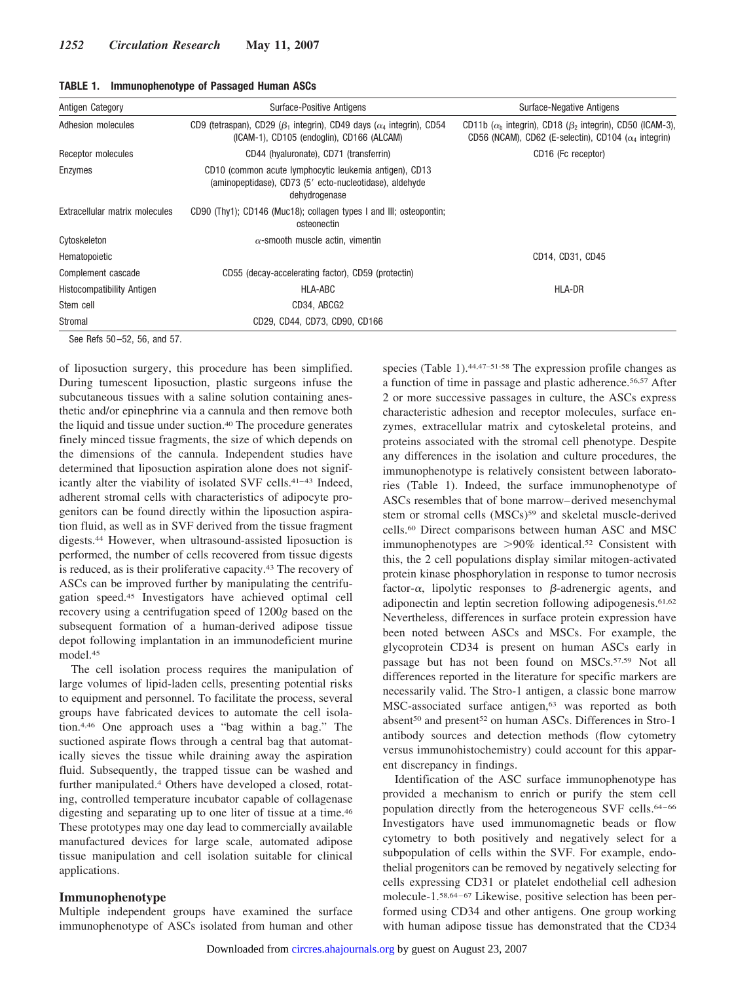| Antigen Category                  | Surface-Positive Antigens                                                                                                          | Surface-Negative Antigens                                                                                                                |  |
|-----------------------------------|------------------------------------------------------------------------------------------------------------------------------------|------------------------------------------------------------------------------------------------------------------------------------------|--|
| Adhesion molecules                | CD9 (tetraspan), CD29 ( $\beta_1$ integrin), CD49 days ( $\alpha_4$ integrin), CD54<br>(ICAM-1), CD105 (endoglin), CD166 (ALCAM)   | CD11b ( $\alpha_b$ integrin), CD18 ( $\beta_2$ integrin), CD50 (ICAM-3),<br>CD56 (NCAM), CD62 (E-selectin), CD104 ( $\alpha_4$ integrin) |  |
| Receptor molecules                | CD44 (hyaluronate), CD71 (transferrin)                                                                                             | CD <sub>16</sub> (Fc receptor)                                                                                                           |  |
| Enzymes                           | CD10 (common acute lymphocytic leukemia antigen), CD13<br>(aminopeptidase), CD73 (5' ecto-nucleotidase), aldehyde<br>dehydrogenase |                                                                                                                                          |  |
| Extracellular matrix molecules    | CD90 (Thy1); CD146 (Muc18); collagen types I and III; osteopontin;<br>osteonectin                                                  |                                                                                                                                          |  |
| Cytoskeleton                      | $\alpha$ -smooth muscle actin, vimentin                                                                                            |                                                                                                                                          |  |
| Hematopoietic                     |                                                                                                                                    | CD14, CD31, CD45                                                                                                                         |  |
| Complement cascade                | CD55 (decay-accelerating factor), CD59 (protectin)                                                                                 |                                                                                                                                          |  |
| <b>Histocompatibility Antigen</b> | HLA-ABC                                                                                                                            | <b>HLA-DR</b>                                                                                                                            |  |
| Stem cell                         | CD34, ABCG2                                                                                                                        |                                                                                                                                          |  |
| Stromal                           | CD29, CD44, CD73, CD90, CD166                                                                                                      |                                                                                                                                          |  |

See Refs 50 –52, 56, and 57.

of liposuction surgery, this procedure has been simplified. During tumescent liposuction, plastic surgeons infuse the subcutaneous tissues with a saline solution containing anesthetic and/or epinephrine via a cannula and then remove both the liquid and tissue under suction.40 The procedure generates finely minced tissue fragments, the size of which depends on the dimensions of the cannula. Independent studies have determined that liposuction aspiration alone does not significantly alter the viability of isolated SVF cells.<sup>41-43</sup> Indeed, adherent stromal cells with characteristics of adipocyte progenitors can be found directly within the liposuction aspiration fluid, as well as in SVF derived from the tissue fragment digests.44 However, when ultrasound-assisted liposuction is performed, the number of cells recovered from tissue digests is reduced, as is their proliferative capacity.43 The recovery of ASCs can be improved further by manipulating the centrifugation speed.45 Investigators have achieved optimal cell recovery using a centrifugation speed of 1200*g* based on the subsequent formation of a human-derived adipose tissue depot following implantation in an immunodeficient murine model.45

The cell isolation process requires the manipulation of large volumes of lipid-laden cells, presenting potential risks to equipment and personnel. To facilitate the process, several groups have fabricated devices to automate the cell isolation.4,46 One approach uses a "bag within a bag." The suctioned aspirate flows through a central bag that automatically sieves the tissue while draining away the aspiration fluid. Subsequently, the trapped tissue can be washed and further manipulated.4 Others have developed a closed, rotating, controlled temperature incubator capable of collagenase digesting and separating up to one liter of tissue at a time.46 These prototypes may one day lead to commercially available manufactured devices for large scale, automated adipose tissue manipulation and cell isolation suitable for clinical applications.

## **Immunophenotype**

Multiple independent groups have examined the surface immunophenotype of ASCs isolated from human and other species (Table 1).44,47–51-58 The expression profile changes as a function of time in passage and plastic adherence.56,57 After 2 or more successive passages in culture, the ASCs express characteristic adhesion and receptor molecules, surface enzymes, extracellular matrix and cytoskeletal proteins, and proteins associated with the stromal cell phenotype. Despite any differences in the isolation and culture procedures, the immunophenotype is relatively consistent between laboratories (Table 1). Indeed, the surface immunophenotype of ASCs resembles that of bone marrow– derived mesenchymal stem or stromal cells (MSCs)<sup>59</sup> and skeletal muscle-derived cells.60 Direct comparisons between human ASC and MSC immunophenotypes are  $>90\%$  identical.<sup>52</sup> Consistent with this, the 2 cell populations display similar mitogen-activated protein kinase phosphorylation in response to tumor necrosis factor- $\alpha$ , lipolytic responses to  $\beta$ -adrenergic agents, and adiponectin and leptin secretion following adipogenesis.61,62 Nevertheless, differences in surface protein expression have been noted between ASCs and MSCs. For example, the glycoprotein CD34 is present on human ASCs early in passage but has not been found on MSCs.57,59 Not all differences reported in the literature for specific markers are necessarily valid. The Stro-1 antigen, a classic bone marrow MSC-associated surface antigen,63 was reported as both absent<sup>50</sup> and present<sup>52</sup> on human ASCs. Differences in Stro-1 antibody sources and detection methods (flow cytometry versus immunohistochemistry) could account for this apparent discrepancy in findings.

Identification of the ASC surface immunophenotype has provided a mechanism to enrich or purify the stem cell population directly from the heterogeneous SVF cells.<sup>64-66</sup> Investigators have used immunomagnetic beads or flow cytometry to both positively and negatively select for a subpopulation of cells within the SVF. For example, endothelial progenitors can be removed by negatively selecting for cells expressing CD31 or platelet endothelial cell adhesion molecule-1.<sup>58,64-67</sup> Likewise, positive selection has been performed using CD34 and other antigens. One group working with human adipose tissue has demonstrated that the CD34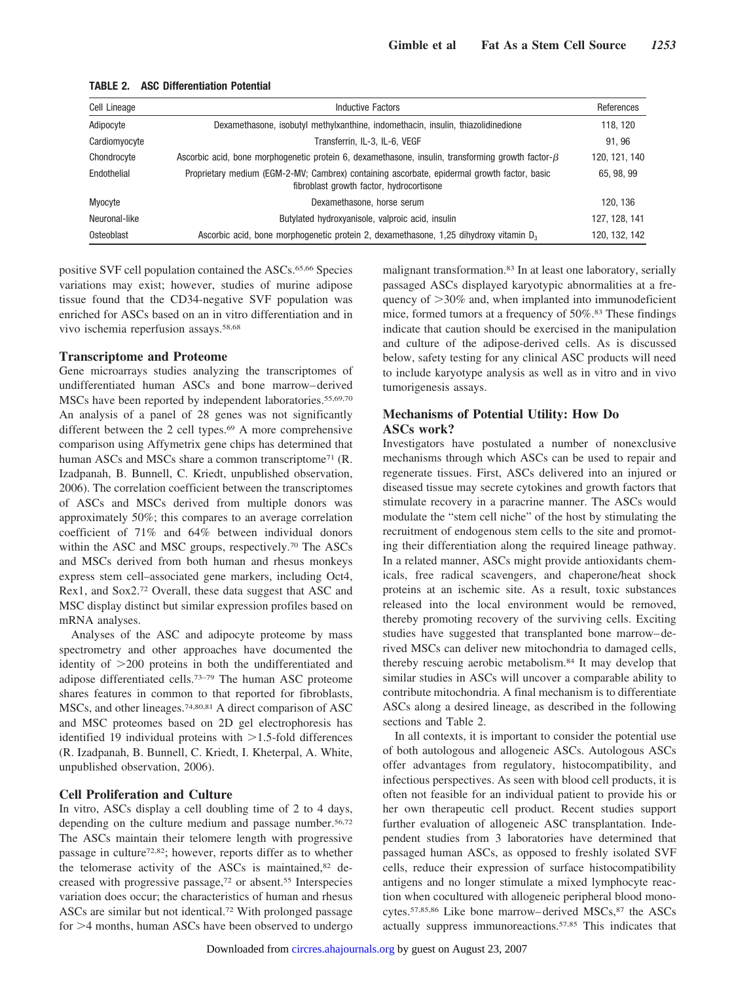| Cell Lineage  | Inductive Factors                                                                                                                       | References    |
|---------------|-----------------------------------------------------------------------------------------------------------------------------------------|---------------|
| Adipocyte     | Dexamethasone, isobutyl methylxanthine, indomethacin, insulin, thiazolidinedione                                                        | 118, 120      |
| Cardiomyocyte | Transferrin, IL-3, IL-6, VEGF                                                                                                           | 91, 96        |
| Chondrocyte   | Ascorbic acid, bone morphogenetic protein 6, dexamethasone, insulin, transforming growth factor- $\beta$                                | 120, 121, 140 |
| Endothelial   | Proprietary medium (EGM-2-MV; Cambrex) containing ascorbate, epidermal growth factor, basic<br>fibroblast growth factor, hydrocortisone | 65, 98, 99    |
| Myocyte       | Dexamethasone, horse serum                                                                                                              | 120, 136      |
| Neuronal-like | Butylated hydroxyanisole, valproic acid, insulin                                                                                        | 127, 128, 141 |
| Osteoblast    | Ascorbic acid, bone morphogenetic protein 2, dexamethasone, 1,25 dihydroxy vitamin $D_3$                                                | 120, 132, 142 |

#### **TABLE 2. ASC Differentiation Potential**

positive SVF cell population contained the ASCs.<sup>65,66</sup> Species variations may exist; however, studies of murine adipose tissue found that the CD34-negative SVF population was enriched for ASCs based on an in vitro differentiation and in vivo ischemia reperfusion assays.58,68

#### **Transcriptome and Proteome**

Gene microarrays studies analyzing the transcriptomes of undifferentiated human ASCs and bone marrow– derived MSCs have been reported by independent laboratories.55,69,70 An analysis of a panel of 28 genes was not significantly different between the 2 cell types.<sup>69</sup> A more comprehensive comparison using Affymetrix gene chips has determined that human ASCs and MSCs share a common transcriptome<sup>71</sup> (R. Izadpanah, B. Bunnell, C. Kriedt, unpublished observation, 2006). The correlation coefficient between the transcriptomes of ASCs and MSCs derived from multiple donors was approximately 50%; this compares to an average correlation coefficient of 71% and 64% between individual donors within the ASC and MSC groups, respectively.<sup>70</sup> The ASCs and MSCs derived from both human and rhesus monkeys express stem cell–associated gene markers, including Oct4, Rex1, and Sox2.72 Overall, these data suggest that ASC and MSC display distinct but similar expression profiles based on mRNA analyses.

Analyses of the ASC and adipocyte proteome by mass spectrometry and other approaches have documented the identity of 200 proteins in both the undifferentiated and adipose differentiated cells.73–79 The human ASC proteome shares features in common to that reported for fibroblasts, MSCs, and other lineages.74,80,81 A direct comparison of ASC and MSC proteomes based on 2D gel electrophoresis has identified 19 individual proteins with  $>1.5$ -fold differences (R. Izadpanah, B. Bunnell, C. Kriedt, I. Kheterpal, A. White, unpublished observation, 2006).

## **Cell Proliferation and Culture**

In vitro, ASCs display a cell doubling time of 2 to 4 days, depending on the culture medium and passage number.<sup>56,72</sup> The ASCs maintain their telomere length with progressive passage in culture<sup>72,82</sup>; however, reports differ as to whether the telomerase activity of the ASCs is maintained,<sup>82</sup> decreased with progressive passage,72 or absent.55 Interspecies variation does occur; the characteristics of human and rhesus ASCs are similar but not identical.72 With prolonged passage for  $>4$  months, human ASCs have been observed to undergo malignant transformation.83 In at least one laboratory, serially passaged ASCs displayed karyotypic abnormalities at a frequency of  $>30\%$  and, when implanted into immunodeficient mice, formed tumors at a frequency of 50%.83 These findings indicate that caution should be exercised in the manipulation and culture of the adipose-derived cells. As is discussed below, safety testing for any clinical ASC products will need to include karyotype analysis as well as in vitro and in vivo tumorigenesis assays.

## **Mechanisms of Potential Utility: How Do ASCs work?**

Investigators have postulated a number of nonexclusive mechanisms through which ASCs can be used to repair and regenerate tissues. First, ASCs delivered into an injured or diseased tissue may secrete cytokines and growth factors that stimulate recovery in a paracrine manner. The ASCs would modulate the "stem cell niche" of the host by stimulating the recruitment of endogenous stem cells to the site and promoting their differentiation along the required lineage pathway. In a related manner, ASCs might provide antioxidants chemicals, free radical scavengers, and chaperone/heat shock proteins at an ischemic site. As a result, toxic substances released into the local environment would be removed, thereby promoting recovery of the surviving cells. Exciting studies have suggested that transplanted bone marrow– derived MSCs can deliver new mitochondria to damaged cells, thereby rescuing aerobic metabolism.84 It may develop that similar studies in ASCs will uncover a comparable ability to contribute mitochondria. A final mechanism is to differentiate ASCs along a desired lineage, as described in the following sections and Table 2.

In all contexts, it is important to consider the potential use of both autologous and allogeneic ASCs. Autologous ASCs offer advantages from regulatory, histocompatibility, and infectious perspectives. As seen with blood cell products, it is often not feasible for an individual patient to provide his or her own therapeutic cell product. Recent studies support further evaluation of allogeneic ASC transplantation. Independent studies from 3 laboratories have determined that passaged human ASCs, as opposed to freshly isolated SVF cells, reduce their expression of surface histocompatibility antigens and no longer stimulate a mixed lymphocyte reaction when cocultured with allogeneic peripheral blood monocytes.<sup>57,85,86</sup> Like bone marrow–derived MSCs,<sup>87</sup> the ASCs actually suppress immunoreactions.57,85 This indicates that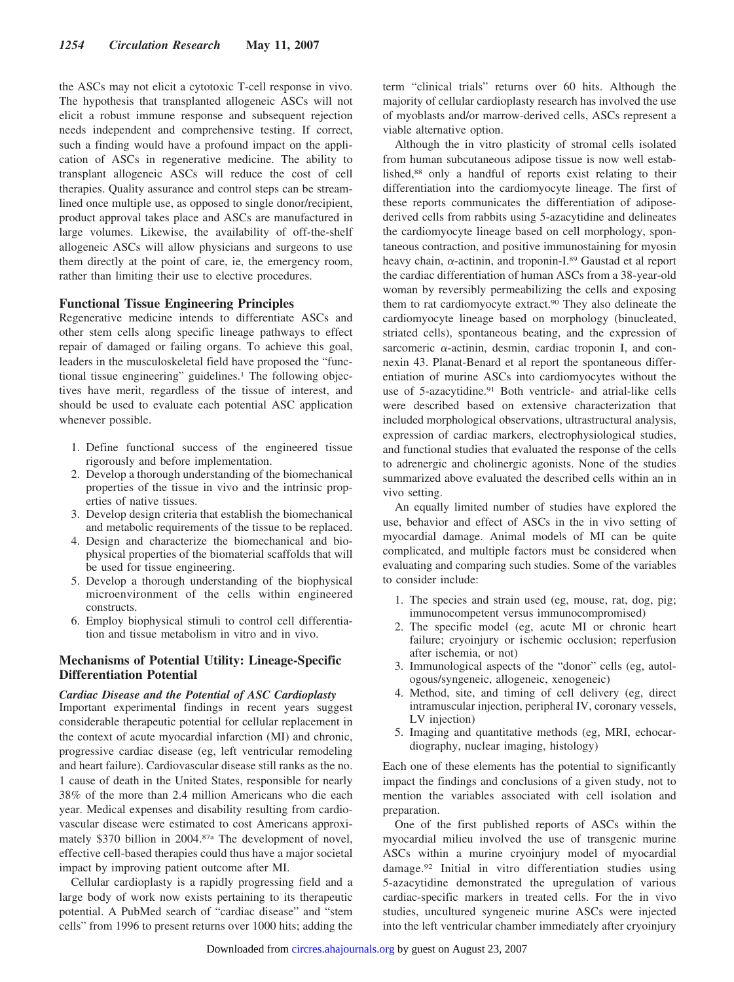the ASCs may not elicit a cytotoxic T-cell response in vivo. The hypothesis that transplanted allogeneic ASCs will not elicit a robust immune response and subsequent rejection needs independent and comprehensive testing. If correct, such a finding would have a profound impact on the application of ASCs in regenerative medicine. The ability to transplant allogeneic ASCs will reduce the cost of cell therapies. Quality assurance and control steps can be streamlined once multiple use, as opposed to single donor/recipient, product approval takes place and ASCs are manufactured in large volumes. Likewise, the availability of off-the-shelf allogeneic ASCs will allow physicians and surgeons to use them directly at the point of care, ie, the emergency room, rather than limiting their use to elective procedures.

### **Functional Tissue Engineering Principles**

Regenerative medicine intends to differentiate ASCs and other stem cells along specific lineage pathways to effect repair of damaged or failing organs. To achieve this goal, leaders in the musculoskeletal field have proposed the "functional tissue engineering" guidelines.<sup>1</sup> The following objectives have merit, regardless of the tissue of interest, and should be used to evaluate each potential ASC application whenever possible.

- 1. Define functional success of the engineered tissue rigorously and before implementation.
- 2. Develop a thorough understanding of the biomechanical properties of the tissue in vivo and the intrinsic properties of native tissues.
- 3. Develop design criteria that establish the biomechanical and metabolic requirements of the tissue to be replaced.
- 4. Design and characterize the biomechanical and biophysical properties of the biomaterial scaffolds that will be used for tissue engineering.
- 5. Develop a thorough understanding of the biophysical microenvironment of the cells within engineered constructs.
- 6. Employ biophysical stimuli to control cell differentiation and tissue metabolism in vitro and in vivo.

## **Mechanisms of Potential Utility: Lineage-Specific Differentiation Potential**

### *Cardiac Disease and the Potential of ASC Cardioplasty*

Important experimental findings in recent years suggest considerable therapeutic potential for cellular replacement in the context of acute myocardial infarction (MI) and chronic, progressive cardiac disease (eg, left ventricular remodeling and heart failure). Cardiovascular disease still ranks as the no. 1 cause of death in the United States, responsible for nearly 38% of the more than 2.4 million Americans who die each year. Medical expenses and disability resulting from cardiovascular disease were estimated to cost Americans approximately \$370 billion in 2004.87a The development of novel, effective cell-based therapies could thus have a major societal impact by improving patient outcome after MI.

Cellular cardioplasty is a rapidly progressing field and a large body of work now exists pertaining to its therapeutic potential. A PubMed search of "cardiac disease" and "stem cells" from 1996 to present returns over 1000 hits; adding the term "clinical trials" returns over 60 hits. Although the majority of cellular cardioplasty research has involved the use of myoblasts and/or marrow-derived cells, ASCs represent a viable alternative option.

Although the in vitro plasticity of stromal cells isolated from human subcutaneous adipose tissue is now well established,88 only a handful of reports exist relating to their differentiation into the cardiomyocyte lineage. The first of these reports communicates the differentiation of adiposederived cells from rabbits using 5-azacytidine and delineates the cardiomyocyte lineage based on cell morphology, spontaneous contraction, and positive immunostaining for myosin heavy chain,  $\alpha$ -actinin, and troponin-I.<sup>89</sup> Gaustad et al report the cardiac differentiation of human ASCs from a 38-year-old woman by reversibly permeabilizing the cells and exposing them to rat cardiomyocyte extract.90 They also delineate the cardiomyocyte lineage based on morphology (binucleated, striated cells), spontaneous beating, and the expression of sarcomeric  $\alpha$ -actinin, desmin, cardiac troponin I, and connexin 43. Planat-Benard et al report the spontaneous differentiation of murine ASCs into cardiomyocytes without the use of 5-azacytidine.<sup>91</sup> Both ventricle- and atrial-like cells were described based on extensive characterization that included morphological observations, ultrastructural analysis, expression of cardiac markers, electrophysiological studies, and functional studies that evaluated the response of the cells to adrenergic and cholinergic agonists. None of the studies summarized above evaluated the described cells within an in vivo setting.

An equally limited number of studies have explored the use, behavior and effect of ASCs in the in vivo setting of myocardial damage. Animal models of MI can be quite complicated, and multiple factors must be considered when evaluating and comparing such studies. Some of the variables to consider include:

- 1. The species and strain used (eg, mouse, rat, dog, pig; immunocompetent versus immunocompromised)
- 2. The specific model (eg, acute MI or chronic heart failure; cryoinjury or ischemic occlusion; reperfusion after ischemia, or not)
- 3. Immunological aspects of the "donor" cells (eg, autologous/syngeneic, allogeneic, xenogeneic)
- 4. Method, site, and timing of cell delivery (eg, direct intramuscular injection, peripheral IV, coronary vessels, LV injection)
- 5. Imaging and quantitative methods (eg, MRI, echocardiography, nuclear imaging, histology)

Each one of these elements has the potential to significantly impact the findings and conclusions of a given study, not to mention the variables associated with cell isolation and preparation.

One of the first published reports of ASCs within the myocardial milieu involved the use of transgenic murine ASCs within a murine cryoinjury model of myocardial damage.92 Initial in vitro differentiation studies using 5-azacytidine demonstrated the upregulation of various cardiac-specific markers in treated cells. For the in vivo studies, uncultured syngeneic murine ASCs were injected into the left ventricular chamber immediately after cryoinjury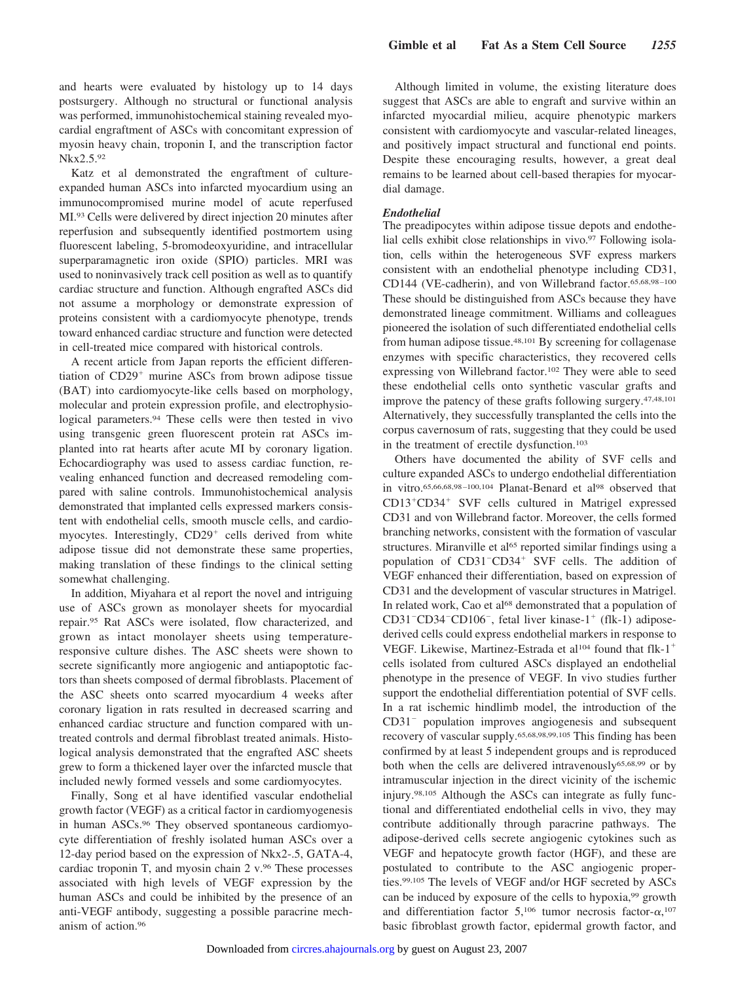and hearts were evaluated by histology up to 14 days postsurgery. Although no structural or functional analysis was performed, immunohistochemical staining revealed myocardial engraftment of ASCs with concomitant expression of myosin heavy chain, troponin I, and the transcription factor Nkx2.5.92

Katz et al demonstrated the engraftment of cultureexpanded human ASCs into infarcted myocardium using an immunocompromised murine model of acute reperfused MI.93 Cells were delivered by direct injection 20 minutes after reperfusion and subsequently identified postmortem using fluorescent labeling, 5-bromodeoxyuridine, and intracellular superparamagnetic iron oxide (SPIO) particles. MRI was used to noninvasively track cell position as well as to quantify cardiac structure and function. Although engrafted ASCs did not assume a morphology or demonstrate expression of proteins consistent with a cardiomyocyte phenotype, trends toward enhanced cardiac structure and function were detected in cell-treated mice compared with historical controls.

A recent article from Japan reports the efficient differentiation of  $CD29<sup>+</sup>$  murine ASCs from brown adipose tissue (BAT) into cardiomyocyte-like cells based on morphology, molecular and protein expression profile, and electrophysiological parameters.94 These cells were then tested in vivo using transgenic green fluorescent protein rat ASCs implanted into rat hearts after acute MI by coronary ligation. Echocardiography was used to assess cardiac function, revealing enhanced function and decreased remodeling compared with saline controls. Immunohistochemical analysis demonstrated that implanted cells expressed markers consistent with endothelial cells, smooth muscle cells, and cardiomyocytes. Interestingly,  $CD29<sup>+</sup>$  cells derived from white adipose tissue did not demonstrate these same properties, making translation of these findings to the clinical setting somewhat challenging.

In addition, Miyahara et al report the novel and intriguing use of ASCs grown as monolayer sheets for myocardial repair.95 Rat ASCs were isolated, flow characterized, and grown as intact monolayer sheets using temperatureresponsive culture dishes. The ASC sheets were shown to secrete significantly more angiogenic and antiapoptotic factors than sheets composed of dermal fibroblasts. Placement of the ASC sheets onto scarred myocardium 4 weeks after coronary ligation in rats resulted in decreased scarring and enhanced cardiac structure and function compared with untreated controls and dermal fibroblast treated animals. Histological analysis demonstrated that the engrafted ASC sheets grew to form a thickened layer over the infarcted muscle that included newly formed vessels and some cardiomyocytes.

Finally, Song et al have identified vascular endothelial growth factor (VEGF) as a critical factor in cardiomyogenesis in human ASCs.96 They observed spontaneous cardiomyocyte differentiation of freshly isolated human ASCs over a 12-day period based on the expression of Nkx2-.5, GATA-4, cardiac troponin T, and myosin chain 2 v.<sup>96</sup> These processes associated with high levels of VEGF expression by the human ASCs and could be inhibited by the presence of an anti-VEGF antibody, suggesting a possible paracrine mechanism of action.96

Although limited in volume, the existing literature does suggest that ASCs are able to engraft and survive within an infarcted myocardial milieu, acquire phenotypic markers consistent with cardiomyocyte and vascular-related lineages, and positively impact structural and functional end points. Despite these encouraging results, however, a great deal remains to be learned about cell-based therapies for myocardial damage.

#### *Endothelial*

The preadipocytes within adipose tissue depots and endothelial cells exhibit close relationships in vivo.<sup>97</sup> Following isolation, cells within the heterogeneous SVF express markers consistent with an endothelial phenotype including CD31, CD144 (VE-cadherin), and von Willebrand factor.65,68,98 –100 These should be distinguished from ASCs because they have demonstrated lineage commitment. Williams and colleagues pioneered the isolation of such differentiated endothelial cells from human adipose tissue.48,101 By screening for collagenase enzymes with specific characteristics, they recovered cells expressing von Willebrand factor.102 They were able to seed these endothelial cells onto synthetic vascular grafts and improve the patency of these grafts following surgery.47,48,101 Alternatively, they successfully transplanted the cells into the corpus cavernosum of rats, suggesting that they could be used in the treatment of erectile dysfunction.103

Others have documented the ability of SVF cells and culture expanded ASCs to undergo endothelial differentiation in vitro.<sup>65,66,68,98-100,104</sup> Planat-Benard et al<sup>98</sup> observed that CD13<sup>+</sup>CD34<sup>+</sup> SVF cells cultured in Matrigel expressed CD31 and von Willebrand factor. Moreover, the cells formed branching networks, consistent with the formation of vascular structures. Miranville et al<sup>65</sup> reported similar findings using a population of  $CD31$ <sup>- $CD34$ <sup>+</sup> SVF cells. The addition of</sup> VEGF enhanced their differentiation, based on expression of CD31 and the development of vascular structures in Matrigel. In related work, Cao et al<sup>68</sup> demonstrated that a population of CD31<sup>-</sup>CD34<sup>-</sup>CD106<sup>-</sup>, fetal liver kinase-1<sup>+</sup> (flk-1) adiposederived cells could express endothelial markers in response to VEGF. Likewise, Martinez-Estrada et al<sup>104</sup> found that flk-1<sup>+</sup> cells isolated from cultured ASCs displayed an endothelial phenotype in the presence of VEGF. In vivo studies further support the endothelial differentiation potential of SVF cells. In a rat ischemic hindlimb model, the introduction of the CD31<sup>-</sup> population improves angiogenesis and subsequent recovery of vascular supply.65,68,98,99,105 This finding has been confirmed by at least 5 independent groups and is reproduced both when the cells are delivered intravenously65,68,99 or by intramuscular injection in the direct vicinity of the ischemic injury.98,105 Although the ASCs can integrate as fully functional and differentiated endothelial cells in vivo, they may contribute additionally through paracrine pathways. The adipose-derived cells secrete angiogenic cytokines such as VEGF and hepatocyte growth factor (HGF), and these are postulated to contribute to the ASC angiogenic properties.99,105 The levels of VEGF and/or HGF secreted by ASCs can be induced by exposure of the cells to hypoxia,<sup>99</sup> growth and differentiation factor  $5,106$  tumor necrosis factor- $\alpha$ ,  $107$ basic fibroblast growth factor, epidermal growth factor, and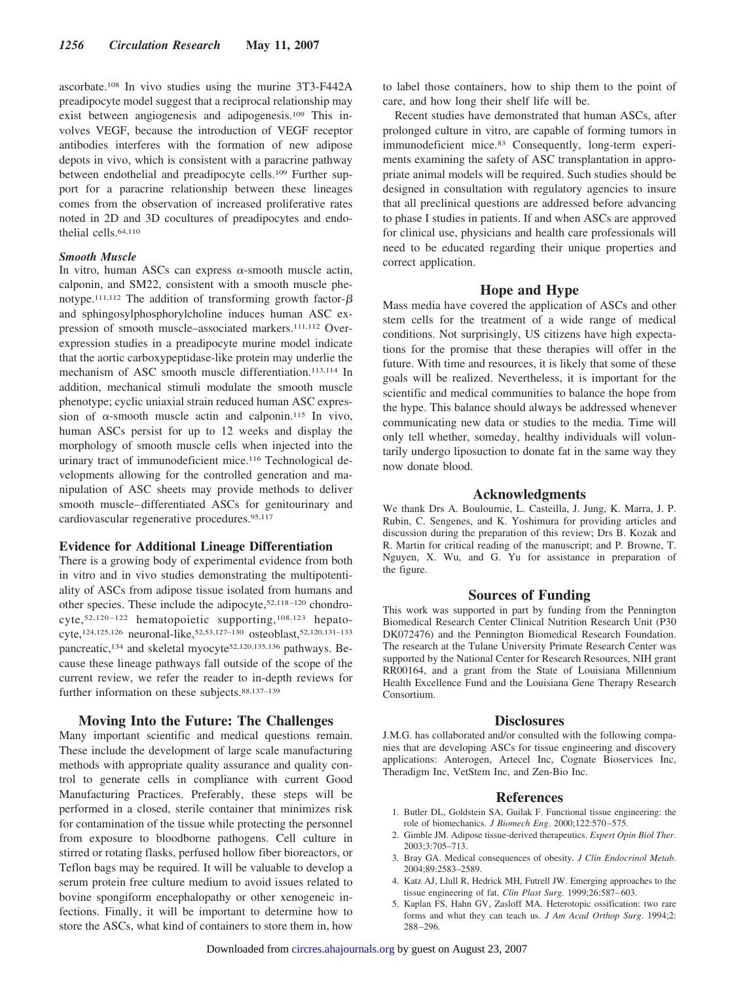ascorbate.108 In vivo studies using the murine 3T3-F442A preadipocyte model suggest that a reciprocal relationship may exist between angiogenesis and adipogenesis.109 This involves VEGF, because the introduction of VEGF receptor antibodies interferes with the formation of new adipose depots in vivo, which is consistent with a paracrine pathway between endothelial and preadipocyte cells.<sup>109</sup> Further support for a paracrine relationship between these lineages comes from the observation of increased proliferative rates noted in 2D and 3D cocultures of preadipocytes and endothelial cells.64,110

#### *Smooth Muscle*

In vitro, human ASCs can express  $\alpha$ -smooth muscle actin, calponin, and SM22, consistent with a smooth muscle phenotype.<sup>111,112</sup> The addition of transforming growth factor- $\beta$ and sphingosylphosphorylcholine induces human ASC expression of smooth muscle–associated markers.111,112 Overexpression studies in a preadipocyte murine model indicate that the aortic carboxypeptidase-like protein may underlie the mechanism of ASC smooth muscle differentiation.<sup>113,114</sup> In addition, mechanical stimuli modulate the smooth muscle phenotype; cyclic uniaxial strain reduced human ASC expression of  $\alpha$ -smooth muscle actin and calponin.<sup>115</sup> In vivo, human ASCs persist for up to 12 weeks and display the morphology of smooth muscle cells when injected into the urinary tract of immunodeficient mice.116 Technological developments allowing for the controlled generation and manipulation of ASC sheets may provide methods to deliver smooth muscle– differentiated ASCs for genitourinary and cardiovascular regenerative procedures.<sup>95,117</sup>

## **Evidence for Additional Lineage Differentiation**

There is a growing body of experimental evidence from both in vitro and in vivo studies demonstrating the multipotentiality of ASCs from adipose tissue isolated from humans and other species. These include the adipocyte,52,118 –120 chondrocyte, 52,120-122 hematopoietic supporting, 108,123 hepatocyte,<sup>124,125,126</sup> neuronal-like,<sup>52,53,127-130</sup> osteoblast,<sup>52,120,131-133</sup> pancreatic,<sup>134</sup> and skeletal myocyte<sup>52,120,135,136</sup> pathways. Because these lineage pathways fall outside of the scope of the current review, we refer the reader to in-depth reviews for further information on these subjects.88,137–139

## **Moving Into the Future: The Challenges**

Many important scientific and medical questions remain. These include the development of large scale manufacturing methods with appropriate quality assurance and quality control to generate cells in compliance with current Good Manufacturing Practices. Preferably, these steps will be performed in a closed, sterile container that minimizes risk for contamination of the tissue while protecting the personnel from exposure to bloodborne pathogens. Cell culture in stirred or rotating flasks, perfused hollow fiber bioreactors, or Teflon bags may be required. It will be valuable to develop a serum protein free culture medium to avoid issues related to bovine spongiform encephalopathy or other xenogeneic infections. Finally, it will be important to determine how to store the ASCs, what kind of containers to store them in, how to label those containers, how to ship them to the point of care, and how long their shelf life will be.

Recent studies have demonstrated that human ASCs, after prolonged culture in vitro, are capable of forming tumors in immunodeficient mice.<sup>83</sup> Consequently, long-term experiments examining the safety of ASC transplantation in appropriate animal models will be required. Such studies should be designed in consultation with regulatory agencies to insure that all preclinical questions are addressed before advancing to phase I studies in patients. If and when ASCs are approved for clinical use, physicians and health care professionals will need to be educated regarding their unique properties and correct application.

#### **Hope and Hype**

Mass media have covered the application of ASCs and other stem cells for the treatment of a wide range of medical conditions. Not surprisingly, US citizens have high expectations for the promise that these therapies will offer in the future. With time and resources, it is likely that some of these goals will be realized. Nevertheless, it is important for the scientific and medical communities to balance the hope from the hype. This balance should always be addressed whenever communicating new data or studies to the media. Time will only tell whether, someday, healthy individuals will voluntarily undergo liposuction to donate fat in the same way they now donate blood.

#### **Acknowledgments**

We thank Drs A. Bouloumie, L. Casteilla, J. Jung, K. Marra, J. P. Rubin, C. Sengenes, and K. Yoshimura for providing articles and discussion during the preparation of this review; Drs B. Kozak and R. Martin for critical reading of the manuscript; and P. Browne, T. Nguyen, X. Wu, and G. Yu for assistance in preparation of the figure.

#### **Sources of Funding**

This work was supported in part by funding from the Pennington Biomedical Research Center Clinical Nutrition Research Unit (P30 DK072476) and the Pennington Biomedical Research Foundation. The research at the Tulane University Primate Research Center was supported by the National Center for Research Resources, NIH grant RR00164, and a grant from the State of Louisiana Millennium Health Excellence Fund and the Louisiana Gene Therapy Research Consortium.

#### **Disclosures**

J.M.G. has collaborated and/or consulted with the following companies that are developing ASCs for tissue engineering and discovery applications: Anterogen, Artecel Inc, Cognate Bioservices Inc, Theradigm Inc, VetStem Inc, and Zen-Bio Inc.

#### **References**

- 1. Butler DL, Goldstein SA, Guilak F. Functional tissue engineering: the role of biomechanics. *J Biomech Eng*. 2000;122:570 –575.
- 2. Gimble JM. Adipose tissue-derived therapeutics. *Expert Opin Biol Ther*. 2003;3:705–713.
- 3. Bray GA. Medical consequences of obesity. *J Clin Endocrinol Metab*. 2004;89:2583–2589.
- 4. Katz AJ, Llull R, Hedrick MH, Futrell JW. Emerging approaches to the tissue engineering of fat. *Clin Plast Surg.* 1999;26:587– 603.
- 5. Kaplan FS, Hahn GV, Zasloff MA. Heterotopic ossification: two rare forms and what they can teach us. *J Am Acad Orthop Surg*. 1994;2: 288 –296.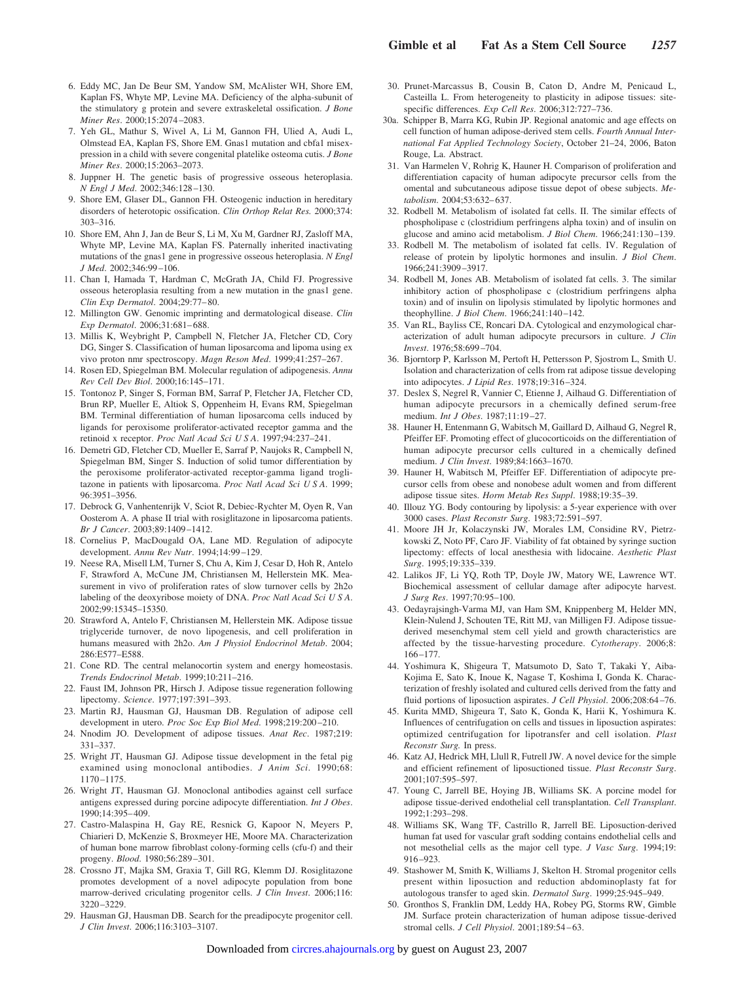- 6. Eddy MC, Jan De Beur SM, Yandow SM, McAlister WH, Shore EM, Kaplan FS, Whyte MP, Levine MA. Deficiency of the alpha-subunit of the stimulatory g protein and severe extraskeletal ossification. *J Bone Miner Res*. 2000;15:2074 –2083.
- 7. Yeh GL, Mathur S, Wivel A, Li M, Gannon FH, Ulied A, Audi L, Olmstead EA, Kaplan FS, Shore EM. Gnas1 mutation and cbfa1 misexpression in a child with severe congenital platelike osteoma cutis. *J Bone Miner Res*. 2000;15:2063–2073.
- 8. Juppner H. The genetic basis of progressive osseous heteroplasia. *N Engl J Med*. 2002;346:128 –130.
- 9. Shore EM, Glaser DL, Gannon FH. Osteogenic induction in hereditary disorders of heterotopic ossification. *Clin Orthop Relat Res.* 2000;374: 303–316.
- 10. Shore EM, Ahn J, Jan de Beur S, Li M, Xu M, Gardner RJ, Zasloff MA, Whyte MP, Levine MA, Kaplan FS. Paternally inherited inactivating mutations of the gnas1 gene in progressive osseous heteroplasia. *N Engl J Med*. 2002;346:99 –106.
- 11. Chan I, Hamada T, Hardman C, McGrath JA, Child FJ. Progressive osseous heteroplasia resulting from a new mutation in the gnas1 gene. *Clin Exp Dermatol*. 2004;29:77– 80.
- 12. Millington GW. Genomic imprinting and dermatological disease. *Clin Exp Dermatol*. 2006;31:681– 688.
- 13. Millis K, Weybright P, Campbell N, Fletcher JA, Fletcher CD, Cory DG, Singer S. Classification of human liposarcoma and lipoma using ex vivo proton nmr spectroscopy. *Magn Reson Med*. 1999;41:257–267.
- 14. Rosen ED, Spiegelman BM. Molecular regulation of adipogenesis. *Annu Rev Cell Dev Biol*. 2000;16:145–171.
- 15. Tontonoz P, Singer S, Forman BM, Sarraf P, Fletcher JA, Fletcher CD, Brun RP, Mueller E, Altiok S, Oppenheim H, Evans RM, Spiegelman BM. Terminal differentiation of human liposarcoma cells induced by ligands for peroxisome proliferator-activated receptor gamma and the retinoid x receptor. *Proc Natl Acad Sci U S A*. 1997;94:237–241.
- 16. Demetri GD, Fletcher CD, Mueller E, Sarraf P, Naujoks R, Campbell N, Spiegelman BM, Singer S. Induction of solid tumor differentiation by the peroxisome proliferator-activated receptor-gamma ligand troglitazone in patients with liposarcoma. *Proc Natl Acad Sci U S A*. 1999; 96:3951–3956.
- 17. Debrock G, Vanhentenrijk V, Sciot R, Debiec-Rychter M, Oyen R, Van Oosterom A. A phase II trial with rosiglitazone in liposarcoma patients. *Br J Cancer*. 2003;89:1409 –1412.
- 18. Cornelius P, MacDougald OA, Lane MD. Regulation of adipocyte development. *Annu Rev Nutr*. 1994;14:99 –129.
- 19. Neese RA, Misell LM, Turner S, Chu A, Kim J, Cesar D, Hoh R, Antelo F, Strawford A, McCune JM, Christiansen M, Hellerstein MK. Measurement in vivo of proliferation rates of slow turnover cells by 2h2o labeling of the deoxyribose moiety of DNA. *Proc Natl Acad Sci U S A*. 2002;99:15345–15350.
- 20. Strawford A, Antelo F, Christiansen M, Hellerstein MK. Adipose tissue triglyceride turnover, de novo lipogenesis, and cell proliferation in humans measured with 2h2o. *Am J Physiol Endocrinol Metab*. 2004; 286:E577–E588.
- 21. Cone RD. The central melanocortin system and energy homeostasis. *Trends Endocrinol Metab*. 1999;10:211–216.
- 22. Faust IM, Johnson PR, Hirsch J. Adipose tissue regeneration following lipectomy. *Science*. 1977;197:391–393.
- 23. Martin RJ, Hausman GJ, Hausman DB. Regulation of adipose cell development in utero. Proc Soc Exp Biol Med. 1998;219:200-210.
- 24. Nnodim JO. Development of adipose tissues. *Anat Rec*. 1987;219: 331–337.
- 25. Wright JT, Hausman GJ. Adipose tissue development in the fetal pig examined using monoclonal antibodies. *J Anim Sci*. 1990;68: 1170 –1175.
- 26. Wright JT, Hausman GJ. Monoclonal antibodies against cell surface antigens expressed during porcine adipocyte differentiation. *Int J Obes*. 1990;14:395– 409.
- 27. Castro-Malaspina H, Gay RE, Resnick G, Kapoor N, Meyers P, Chiarieri D, McKenzie S, Broxmeyer HE, Moore MA. Characterization of human bone marrow fibroblast colony-forming cells (cfu-f) and their progeny. *Blood*. 1980;56:289 –301.
- 28. Crossno JT, Majka SM, Graxia T, Gill RG, Klemm DJ. Rosiglitazone promotes development of a novel adipocyte population from bone marrow-derived criculating progenitor cells. *J Clin Invest*. 2006;116: 3220 –3229.
- 29. Hausman GJ, Hausman DB. Search for the preadipocyte progenitor cell. *J Clin Invest*. 2006;116:3103–3107.
- 30. Prunet-Marcassus B, Cousin B, Caton D, Andre M, Penicaud L, Casteilla L. From heterogeneity to plasticity in adipose tissues: sitespecific differences. *Exp Cell Res*. 2006;312:727–736.
- 30a. Schipper B, Marra KG, Rubin JP. Regional anatomic and age effects on cell function of human adipose-derived stem cells. *Fourth Annual International Fat Applied Technology Society*, October 21–24, 2006, Baton Rouge, La. Abstract.
- 31. Van Harmelen V, Rohrig K, Hauner H. Comparison of proliferation and differentiation capacity of human adipocyte precursor cells from the omental and subcutaneous adipose tissue depot of obese subjects. *Metabolism*. 2004;53:632– 637.
- 32. Rodbell M. Metabolism of isolated fat cells. II. The similar effects of phospholipase c (clostridium perfringens alpha toxin) and of insulin on glucose and amino acid metabolism. *J Biol Chem*. 1966;241:130 –139.
- 33. Rodbell M. The metabolism of isolated fat cells. IV. Regulation of release of protein by lipolytic hormones and insulin. *J Biol Chem*. 1966;241:3909 –3917.
- 34. Rodbell M, Jones AB. Metabolism of isolated fat cells. 3. The similar inhibitory action of phospholipase c (clostridium perfringens alpha toxin) and of insulin on lipolysis stimulated by lipolytic hormones and theophylline. *J Biol Chem*. 1966;241:140 –142.
- 35. Van RL, Bayliss CE, Roncari DA. Cytological and enzymological characterization of adult human adipocyte precursors in culture. *J Clin Invest*. 1976;58:699 –704.
- 36. Bjorntorp P, Karlsson M, Pertoft H, Pettersson P, Sjostrom L, Smith U. Isolation and characterization of cells from rat adipose tissue developing into adipocytes. *J Lipid Res*. 1978;19:316 –324.
- 37. Deslex S, Negrel R, Vannier C, Etienne J, Ailhaud G. Differentiation of human adipocyte precursors in a chemically defined serum-free medium. *Int J Obes*. 1987;11:19 –27.
- 38. Hauner H, Entenmann G, Wabitsch M, Gaillard D, Ailhaud G, Negrel R, Pfeiffer EF. Promoting effect of glucocorticoids on the differentiation of human adipocyte precursor cells cultured in a chemically defined medium. *J Clin Invest*. 1989;84:1663–1670.
- 39. Hauner H, Wabitsch M, Pfeiffer EF. Differentiation of adipocyte precursor cells from obese and nonobese adult women and from different adipose tissue sites. *Horm Metab Res Suppl*. 1988;19:35–39.
- 40. Illouz YG. Body contouring by lipolysis: a 5-year experience with over 3000 cases. *Plast Reconstr Surg*. 1983;72:591–597.
- 41. Moore JH Jr, Kolaczynski JW, Morales LM, Considine RV, Pietrzkowski Z, Noto PF, Caro JF. Viability of fat obtained by syringe suction lipectomy: effects of local anesthesia with lidocaine. *Aesthetic Plast Surg*. 1995;19:335–339.
- 42. Lalikos JF, Li YQ, Roth TP, Doyle JW, Matory WE, Lawrence WT. Biochemical assessment of cellular damage after adipocyte harvest. *J Surg Res*. 1997;70:95–100.
- 43. Oedayrajsingh-Varma MJ, van Ham SM, Knippenberg M, Helder MN, Klein-Nulend J, Schouten TE, Ritt MJ, van Milligen FJ. Adipose tissuederived mesenchymal stem cell yield and growth characteristics are affected by the tissue-harvesting procedure. *Cytotherapy*. 2006;8: 166 –177.
- 44. Yoshimura K, Shigeura T, Matsumoto D, Sato T, Takaki Y, Aiba-Kojima E, Sato K, Inoue K, Nagase T, Koshima I, Gonda K. Characterization of freshly isolated and cultured cells derived from the fatty and fluid portions of liposuction aspirates. *J Cell Physiol*. 2006;208:64 –76.
- 45. Kurita MMD, Shigeura T, Sato K, Gonda K, Harii K, Yoshimura K. Influences of centrifugation on cells and tissues in liposuction aspirates: optimized centrifugation for lipotransfer and cell isolation. *Plast Reconstr Surg.* In press.
- 46. Katz AJ, Hedrick MH, Llull R, Futrell JW. A novel device for the simple and efficient refinement of liposuctioned tissue. *Plast Reconstr Surg*. 2001;107:595–597.
- 47. Young C, Jarrell BE, Hoying JB, Williams SK. A porcine model for adipose tissue-derived endothelial cell transplantation. *Cell Transplant*. 1992;1:293–298.
- 48. Williams SK, Wang TF, Castrillo R, Jarrell BE. Liposuction-derived human fat used for vascular graft sodding contains endothelial cells and not mesothelial cells as the major cell type. *J Vasc Surg*. 1994;19: 916 –923.
- 49. Stashower M, Smith K, Williams J, Skelton H. Stromal progenitor cells present within liposuction and reduction abdominoplasty fat for autologous transfer to aged skin. *Dermatol Surg*. 1999;25:945–949.
- 50. Gronthos S, Franklin DM, Leddy HA, Robey PG, Storms RW, Gimble JM. Surface protein characterization of human adipose tissue-derived stromal cells. *J Cell Physiol*. 2001;189:54 – 63.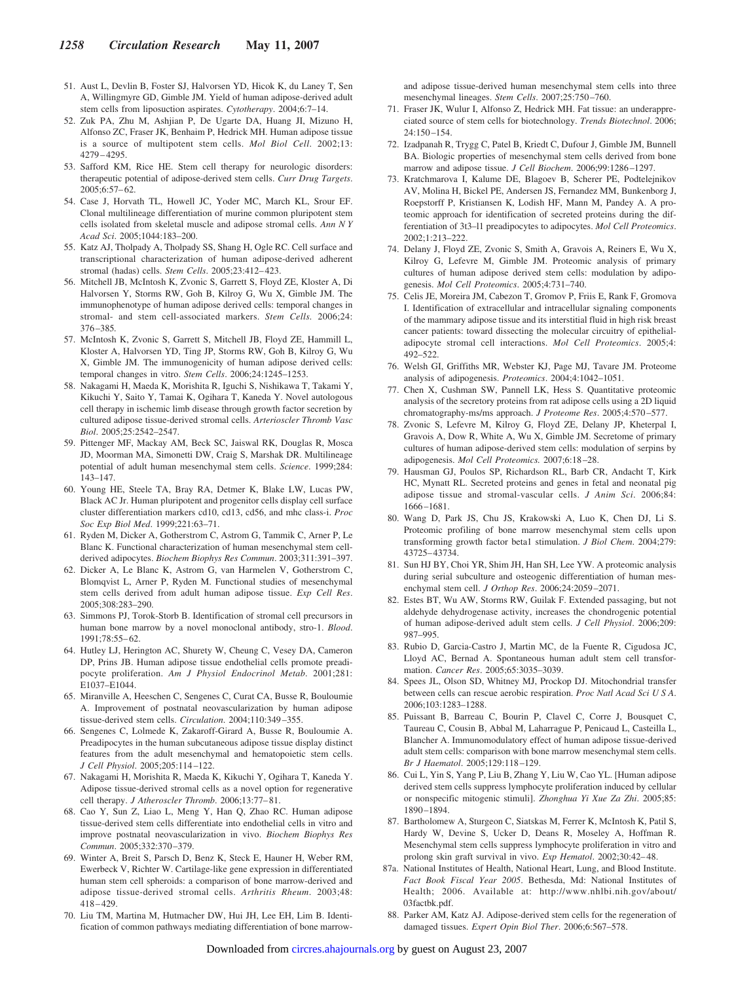- 51. Aust L, Devlin B, Foster SJ, Halvorsen YD, Hicok K, du Laney T, Sen A, Willingmyre GD, Gimble JM. Yield of human adipose-derived adult stem cells from liposuction aspirates. *Cytotherapy*. 2004;6:7–14.
- 52. Zuk PA, Zhu M, Ashjian P, De Ugarte DA, Huang JI, Mizuno H, Alfonso ZC, Fraser JK, Benhaim P, Hedrick MH. Human adipose tissue is a source of multipotent stem cells. *Mol Biol Cell*. 2002;13: 4279 – 4295.
- 53. Safford KM, Rice HE. Stem cell therapy for neurologic disorders: therapeutic potential of adipose-derived stem cells. *Curr Drug Targets*. 2005;6:57– 62.
- 54. Case J, Horvath TL, Howell JC, Yoder MC, March KL, Srour EF. Clonal multilineage differentiation of murine common pluripotent stem cells isolated from skeletal muscle and adipose stromal cells. *Ann N Y Acad Sci*. 2005;1044:183–200.
- 55. Katz AJ, Tholpady A, Tholpady SS, Shang H, Ogle RC. Cell surface and transcriptional characterization of human adipose-derived adherent stromal (hadas) cells. *Stem Cells*. 2005;23:412– 423.
- 56. Mitchell JB, McIntosh K, Zvonic S, Garrett S, Floyd ZE, Kloster A, Di Halvorsen Y, Storms RW, Goh B, Kilroy G, Wu X, Gimble JM. The immunophenotype of human adipose derived cells: temporal changes in stromal- and stem cell-associated markers. *Stem Cells.* 2006;24: 376 –385*.*
- 57. McIntosh K, Zvonic S, Garrett S, Mitchell JB, Floyd ZE, Hammill L, Kloster A, Halvorsen YD, Ting JP, Storms RW, Goh B, Kilroy G, Wu X, Gimble JM. The immunogenicity of human adipose derived cells: temporal changes in vitro. *Stem Cells*. 2006;24:1245–1253.
- 58. Nakagami H, Maeda K, Morishita R, Iguchi S, Nishikawa T, Takami Y, Kikuchi Y, Saito Y, Tamai K, Ogihara T, Kaneda Y. Novel autologous cell therapy in ischemic limb disease through growth factor secretion by cultured adipose tissue-derived stromal cells. *Arterioscler Thromb Vasc Biol*. 2005;25:2542–2547.
- 59. Pittenger MF, Mackay AM, Beck SC, Jaiswal RK, Douglas R, Mosca JD, Moorman MA, Simonetti DW, Craig S, Marshak DR. Multilineage potential of adult human mesenchymal stem cells. *Science*. 1999;284: 143–147.
- 60. Young HE, Steele TA, Bray RA, Detmer K, Blake LW, Lucas PW, Black AC Jr. Human pluripotent and progenitor cells display cell surface cluster differentiation markers cd10, cd13, cd56, and mhc class-i. *Proc Soc Exp Biol Med*. 1999;221:63–71.
- 61. Ryden M, Dicker A, Gotherstrom C, Astrom G, Tammik C, Arner P, Le Blanc K. Functional characterization of human mesenchymal stem cellderived adipocytes. *Biochem Biophys Res Commun*. 2003;311:391–397.
- 62. Dicker A, Le Blanc K, Astrom G, van Harmelen V, Gotherstrom C, Blomqvist L, Arner P, Ryden M. Functional studies of mesenchymal stem cells derived from adult human adipose tissue. *Exp Cell Res*. 2005;308:283–290.
- 63. Simmons PJ, Torok-Storb B. Identification of stromal cell precursors in human bone marrow by a novel monoclonal antibody, stro-1. *Blood*. 1991;78:55– 62.
- 64. Hutley LJ, Herington AC, Shurety W, Cheung C, Vesey DA, Cameron DP, Prins JB. Human adipose tissue endothelial cells promote preadipocyte proliferation. *Am J Physiol Endocrinol Metab*. 2001;281: E1037–E1044.
- 65. Miranville A, Heeschen C, Sengenes C, Curat CA, Busse R, Bouloumie A. Improvement of postnatal neovascularization by human adipose tissue-derived stem cells. *Circulation*. 2004;110:349 –355.
- 66. Sengenes C, Lolmede K, Zakaroff-Girard A, Busse R, Bouloumie A. Preadipocytes in the human subcutaneous adipose tissue display distinct features from the adult mesenchymal and hematopoietic stem cells. *J Cell Physiol*. 2005;205:114 –122.
- 67. Nakagami H, Morishita R, Maeda K, Kikuchi Y, Ogihara T, Kaneda Y. Adipose tissue-derived stromal cells as a novel option for regenerative cell therapy. *J Atheroscler Thromb*. 2006;13:77-81.
- 68. Cao Y, Sun Z, Liao L, Meng Y, Han Q, Zhao RC. Human adipose tissue-derived stem cells differentiate into endothelial cells in vitro and improve postnatal neovascularization in vivo. *Biochem Biophys Res Commun*. 2005;332:370 –379.
- 69. Winter A, Breit S, Parsch D, Benz K, Steck E, Hauner H, Weber RM, Ewerbeck V, Richter W. Cartilage-like gene expression in differentiated human stem cell spheroids: a comparison of bone marrow-derived and adipose tissue-derived stromal cells. *Arthritis Rheum*. 2003;48: 418 – 429.
- 70. Liu TM, Martina M, Hutmacher DW, Hui JH, Lee EH, Lim B. Identification of common pathways mediating differentiation of bone marrow-

and adipose tissue-derived human mesenchymal stem cells into three mesenchymal lineages. *Stem Cells*. 2007;25:750 –760.

- 71. Fraser JK, Wulur I, Alfonso Z, Hedrick MH. Fat tissue: an underappreciated source of stem cells for biotechnology. *Trends Biotechnol*. 2006; 24:150 –154.
- 72. Izadpanah R, Trygg C, Patel B, Kriedt C, Dufour J, Gimble JM, Bunnell BA. Biologic properties of mesenchymal stem cells derived from bone marrow and adipose tissue. *J Cell Biochem*. 2006;99:1286 –1297.
- 73. Kratchmarova I, Kalume DE, Blagoev B, Scherer PE, Podtelejnikov AV, Molina H, Bickel PE, Andersen JS, Fernandez MM, Bunkenborg J, Roepstorff P, Kristiansen K, Lodish HF, Mann M, Pandey A. A proteomic approach for identification of secreted proteins during the differentiation of 3t3–l1 preadipocytes to adipocytes. *Mol Cell Proteomics*. 2002;1:213–222.
- 74. Delany J, Floyd ZE, Zvonic S, Smith A, Gravois A, Reiners E, Wu X, Kilroy G, Lefevre M, Gimble JM. Proteomic analysis of primary cultures of human adipose derived stem cells: modulation by adipogenesis. *Mol Cell Proteomics*. 2005;4:731–740.
- 75. Celis JE, Moreira JM, Cabezon T, Gromov P, Friis E, Rank F, Gromova I. Identification of extracellular and intracellular signaling components of the mammary adipose tissue and its interstitial fluid in high risk breast cancer patients: toward dissecting the molecular circuitry of epithelialadipocyte stromal cell interactions. *Mol Cell Proteomics*. 2005;4: 492–522.
- 76. Welsh GI, Griffiths MR, Webster KJ, Page MJ, Tavare JM. Proteome analysis of adipogenesis. *Proteomics*. 2004;4:1042–1051.
- 77. Chen X, Cushman SW, Pannell LK, Hess S. Quantitative proteomic analysis of the secretory proteins from rat adipose cells using a 2D liquid chromatography-ms/ms approach. *J Proteome Res*. 2005;4:570 –577.
- 78. Zvonic S, Lefevre M, Kilroy G, Floyd ZE, Delany JP, Kheterpal I, Gravois A, Dow R, White A, Wu X, Gimble JM. Secretome of primary cultures of human adipose-derived stem cells: modulation of serpins by adipogenesis. *Mol Cell Proteomics.* 2007;6:18 –28.
- 79. Hausman GJ, Poulos SP, Richardson RL, Barb CR, Andacht T, Kirk HC, Mynatt RL. Secreted proteins and genes in fetal and neonatal pig adipose tissue and stromal-vascular cells. *J Anim Sci*. 2006;84: 1666 –1681.
- 80. Wang D, Park JS, Chu JS, Krakowski A, Luo K, Chen DJ, Li S. Proteomic profiling of bone marrow mesenchymal stem cells upon transforming growth factor beta1 stimulation. *J Biol Chem*. 2004;279: 43725– 43734.
- 81. Sun HJ BY, Choi YR, Shim JH, Han SH, Lee YW. A proteomic analysis during serial subculture and osteogenic differentiation of human mesenchymal stem cell. *J Orthop Res*. 2006;24:2059 –2071.
- 82. Estes BT, Wu AW, Storms RW, Guilak F. Extended passaging, but not aldehyde dehydrogenase activity, increases the chondrogenic potential of human adipose-derived adult stem cells. *J Cell Physiol*. 2006;209: 987–995.
- 83. Rubio D, Garcia-Castro J, Martin MC, de la Fuente R, Cigudosa JC, Lloyd AC, Bernad A. Spontaneous human adult stem cell transformation. *Cancer Res*. 2005;65:3035–3039.
- 84. Spees JL, Olson SD, Whitney MJ, Prockop DJ. Mitochondrial transfer between cells can rescue aerobic respiration. *Proc Natl Acad Sci U S A*. 2006;103:1283–1288.
- 85. Puissant B, Barreau C, Bourin P, Clavel C, Corre J, Bousquet C, Taureau C, Cousin B, Abbal M, Laharrague P, Penicaud L, Casteilla L, Blancher A. Immunomodulatory effect of human adipose tissue-derived adult stem cells: comparison with bone marrow mesenchymal stem cells. *Br J Haematol*. 2005;129:118 –129.
- 86. Cui L, Yin S, Yang P, Liu B, Zhang Y, Liu W, Cao YL. [Human adipose derived stem cells suppress lymphocyte proliferation induced by cellular or nonspecific mitogenic stimuli]. *Zhonghua Yi Xue Za Zhi*. 2005;85: 1890 –1894.
- 87. Bartholomew A, Sturgeon C, Siatskas M, Ferrer K, McIntosh K, Patil S, Hardy W, Devine S, Ucker D, Deans R, Moseley A, Hoffman R. Mesenchymal stem cells suppress lymphocyte proliferation in vitro and prolong skin graft survival in vivo. *Exp Hematol*. 2002;30:42– 48.
- 87a. National Institutes of Health, National Heart, Lung, and Blood Institute. *Fact Book Fiscal Year 2005*. Bethesda, Md: National Institutes of Health; 2006. Available at: http://www.nhlbi.nih.gov/about/ 03factbk.pdf.
- 88. Parker AM, Katz AJ. Adipose-derived stem cells for the regeneration of damaged tissues. *Expert Opin Biol Ther*. 2006;6:567–578.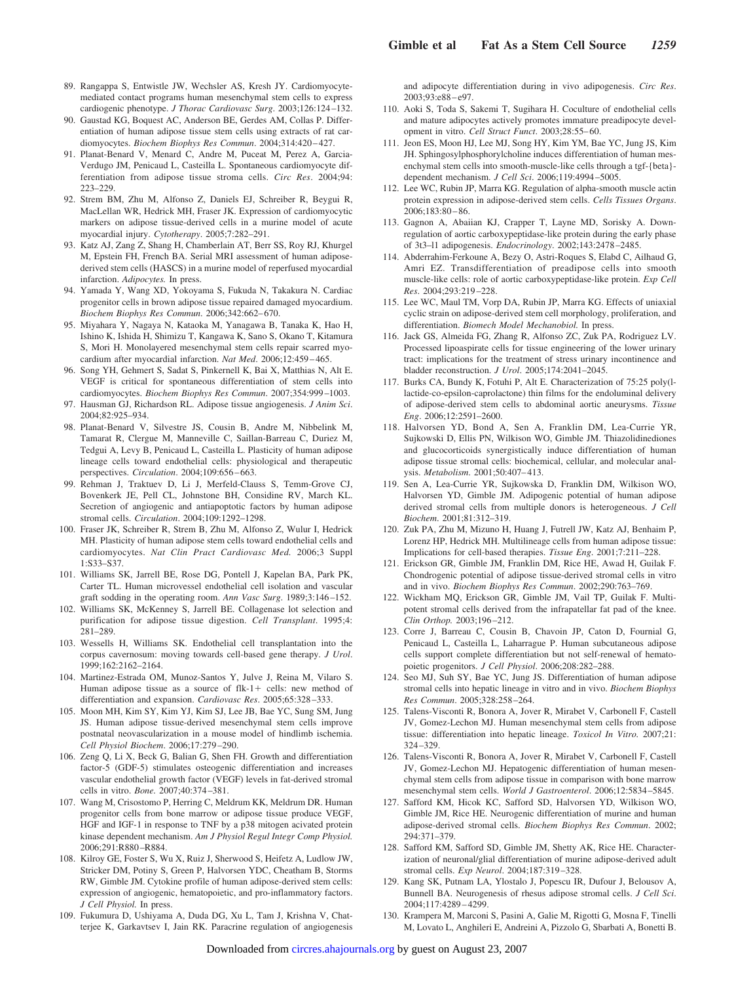- 89. Rangappa S, Entwistle JW, Wechsler AS, Kresh JY. Cardiomyocytemediated contact programs human mesenchymal stem cells to express cardiogenic phenotype. *J Thorac Cardiovasc Surg*. 2003;126:124 –132.
- 90. Gaustad KG, Boquest AC, Anderson BE, Gerdes AM, Collas P. Differentiation of human adipose tissue stem cells using extracts of rat cardiomyocytes. *Biochem Biophys Res Commun*. 2004;314:420 – 427.
- 91. Planat-Benard V, Menard C, Andre M, Puceat M, Perez A, Garcia-Verdugo JM, Penicaud L, Casteilla L. Spontaneous cardiomyocyte differentiation from adipose tissue stroma cells. *Circ Res*. 2004;94: 223–229.
- 92. Strem BM, Zhu M, Alfonso Z, Daniels EJ, Schreiber R, Beygui R, MacLellan WR, Hedrick MH, Fraser JK. Expression of cardiomyocytic markers on adipose tissue-derived cells in a murine model of acute myocardial injury. *Cytotherapy*. 2005;7:282–291.
- 93. Katz AJ, Zang Z, Shang H, Chamberlain AT, Berr SS, Roy RJ, Khurgel M, Epstein FH, French BA. Serial MRI assessment of human adiposederived stem cells (HASCS) in a murine model of reperfused myocardial infarction. *Adipocytes.* In press.
- 94. Yamada Y, Wang XD, Yokoyama S, Fukuda N, Takakura N. Cardiac progenitor cells in brown adipose tissue repaired damaged myocardium. *Biochem Biophys Res Commun*. 2006;342:662– 670.
- 95. Miyahara Y, Nagaya N, Kataoka M, Yanagawa B, Tanaka K, Hao H, Ishino K, Ishida H, Shimizu T, Kangawa K, Sano S, Okano T, Kitamura S, Mori H. Monolayered mesenchymal stem cells repair scarred myocardium after myocardial infarction. *Nat Med*. 2006;12:459 – 465.
- 96. Song YH, Gehmert S, Sadat S, Pinkernell K, Bai X, Matthias N, Alt E. VEGF is critical for spontaneous differentiation of stem cells into cardiomyocytes. *Biochem Biophys Res Commun*. 2007;354:999 –1003.
- 97. Hausman GJ, Richardson RL. Adipose tissue angiogenesis. *J Anim Sci*. 2004;82:925–934.
- 98. Planat-Benard V, Silvestre JS, Cousin B, Andre M, Nibbelink M, Tamarat R, Clergue M, Manneville C, Saillan-Barreau C, Duriez M, Tedgui A, Levy B, Penicaud L, Casteilla L. Plasticity of human adipose lineage cells toward endothelial cells: physiological and therapeutic perspectives. *Circulation*. 2004;109:656 – 663.
- 99. Rehman J, Traktuev D, Li J, Merfeld-Clauss S, Temm-Grove CJ, Bovenkerk JE, Pell CL, Johnstone BH, Considine RV, March KL. Secretion of angiogenic and antiapoptotic factors by human adipose stromal cells. *Circulation*. 2004;109:1292–1298.
- 100. Fraser JK, Schreiber R, Strem B, Zhu M, Alfonso Z, Wulur I, Hedrick MH. Plasticity of human adipose stem cells toward endothelial cells and cardiomyocytes. *Nat Clin Pract Cardiovasc Med.* 2006;3 Suppl 1:S33–S37.
- 101. Williams SK, Jarrell BE, Rose DG, Pontell J, Kapelan BA, Park PK, Carter TL. Human microvessel endothelial cell isolation and vascular graft sodding in the operating room. *Ann Vasc Surg*. 1989;3:146 –152.
- 102. Williams SK, McKenney S, Jarrell BE. Collagenase lot selection and purification for adipose tissue digestion. *Cell Transplant*. 1995;4: 281–289.
- 103. Wessells H, Williams SK. Endothelial cell transplantation into the corpus cavernosum: moving towards cell-based gene therapy. *J Urol*. 1999;162:2162–2164.
- 104. Martinez-Estrada OM, Munoz-Santos Y, Julve J, Reina M, Vilaro S. Human adipose tissue as a source of  $f$ Ik-1+ cells: new method of differentiation and expansion. *Cardiovasc Res*. 2005;65:328 –333.
- 105. Moon MH, Kim SY, Kim YJ, Kim SJ, Lee JB, Bae YC, Sung SM, Jung JS. Human adipose tissue-derived mesenchymal stem cells improve postnatal neovascularization in a mouse model of hindlimb ischemia. *Cell Physiol Biochem*. 2006;17:279 –290.
- 106. Zeng Q, Li X, Beck G, Balian G, Shen FH. Growth and differentiation factor-5 (GDF-5) stimulates osteogenic differentiation and increases vascular endothelial growth factor (VEGF) levels in fat-derived stromal cells in vitro. *Bone.* 2007;40:374 –381.
- 107. Wang M, Crisostomo P, Herring C, Meldrum KK, Meldrum DR. Human progenitor cells from bone marrow or adipose tissue produce VEGF, HGF and IGF-1 in response to TNF by a p38 mitogen acivated protein kinase dependent mechanism. *Am J Physiol Regul Integr Comp Physiol.* 2006;291:R880 –R884.
- 108. Kilroy GE, Foster S, Wu X, Ruiz J, Sherwood S, Heifetz A, Ludlow JW, Stricker DM, Potiny S, Green P, Halvorsen YDC, Cheatham B, Storms RW, Gimble JM. Cytokine profile of human adipose-derived stem cells: expression of angiogenic, hematopoietic, and pro-inflammatory factors. *J Cell Physiol.* In press.
- 109. Fukumura D, Ushiyama A, Duda DG, Xu L, Tam J, Krishna V, Chatterjee K, Garkavtsev I, Jain RK. Paracrine regulation of angiogenesis

and adipocyte differentiation during in vivo adipogenesis. *Circ Res*. 2003;93:e88 – e97.

- 110. Aoki S, Toda S, Sakemi T, Sugihara H. Coculture of endothelial cells and mature adipocytes actively promotes immature preadipocyte development in vitro. *Cell Struct Funct*. 2003;28:55– 60.
- 111. Jeon ES, Moon HJ, Lee MJ, Song HY, Kim YM, Bae YC, Jung JS, Kim JH. Sphingosylphosphorylcholine induces differentiation of human mesenchymal stem cells into smooth-muscle-like cells through a tgf-{beta} dependent mechanism. *J Cell Sci*. 2006;119:4994 –5005.
- 112. Lee WC, Rubin JP, Marra KG. Regulation of alpha-smooth muscle actin protein expression in adipose-derived stem cells. *Cells Tissues Organs*. 2006;183:80 – 86.
- 113. Gagnon A, Abaiian KJ, Crapper T, Layne MD, Sorisky A. Downregulation of aortic carboxypeptidase-like protein during the early phase of 3t3–l1 adipogenesis. *Endocrinology*. 2002;143:2478 –2485.
- 114. Abderrahim-Ferkoune A, Bezy O, Astri-Roques S, Elabd C, Ailhaud G, Amri EZ. Transdifferentiation of preadipose cells into smooth muscle-like cells: role of aortic carboxypeptidase-like protein. *Exp Cell Res*. 2004;293:219 –228.
- 115. Lee WC, Maul TM, Vorp DA, Rubin JP, Marra KG. Effects of uniaxial cyclic strain on adipose-derived stem cell morphology, proliferation, and differentiation. *Biomech Model Mechanobiol.* In press.
- 116. Jack GS, Almeida FG, Zhang R, Alfonso ZC, Zuk PA, Rodriguez LV. Processed lipoaspirate cells for tissue engineering of the lower urinary tract: implications for the treatment of stress urinary incontinence and bladder reconstruction. *J Urol*. 2005;174:2041–2045.
- 117. Burks CA, Bundy K, Fotuhi P, Alt E. Characterization of 75:25 poly(llactide-co-epsilon-caprolactone) thin films for the endoluminal delivery of adipose-derived stem cells to abdominal aortic aneurysms. *Tissue Eng*. 2006;12:2591–2600.
- 118. Halvorsen YD, Bond A, Sen A, Franklin DM, Lea-Currie YR, Sujkowski D, Ellis PN, Wilkison WO, Gimble JM. Thiazolidinediones and glucocorticoids synergistically induce differentiation of human adipose tissue stromal cells: biochemical, cellular, and molecular analysis. *Metabolism*. 2001;50:407– 413.
- 119. Sen A, Lea-Currie YR, Sujkowska D, Franklin DM, Wilkison WO, Halvorsen YD, Gimble JM. Adipogenic potential of human adipose derived stromal cells from multiple donors is heterogeneous. *J Cell Biochem*. 2001;81:312–319.
- 120. Zuk PA, Zhu M, Mizuno H, Huang J, Futrell JW, Katz AJ, Benhaim P, Lorenz HP, Hedrick MH. Multilineage cells from human adipose tissue: Implications for cell-based therapies. *Tissue Eng*. 2001;7:211–228.
- 121. Erickson GR, Gimble JM, Franklin DM, Rice HE, Awad H, Guilak F. Chondrogenic potential of adipose tissue-derived stromal cells in vitro and in vivo. *Biochem Biophys Res Commun*. 2002;290:763–769.
- 122. Wickham MQ, Erickson GR, Gimble JM, Vail TP, Guilak F. Multipotent stromal cells derived from the infrapatellar fat pad of the knee. *Clin Orthop.* 2003;196 –212.
- 123. Corre J, Barreau C, Cousin B, Chavoin JP, Caton D, Fournial G, Penicaud L, Casteilla L, Laharrague P. Human subcutaneous adipose cells support complete differentiation but not self-renewal of hematopoietic progenitors. *J Cell Physiol*. 2006;208:282–288.
- 124. Seo MJ, Suh SY, Bae YC, Jung JS. Differentiation of human adipose stromal cells into hepatic lineage in vitro and in vivo. *Biochem Biophys Res Commun*. 2005;328:258 –264.
- 125. Talens-Visconti R, Bonora A, Jover R, Mirabet V, Carbonell F, Castell JV, Gomez-Lechon MJ. Human mesenchymal stem cells from adipose tissue: differentiation into hepatic lineage. *Toxicol In Vitro.* 2007;21: 324 –329.
- 126. Talens-Visconti R, Bonora A, Jover R, Mirabet V, Carbonell F, Castell JV, Gomez-Lechon MJ. Hepatogenic differentiation of human mesenchymal stem cells from adipose tissue in comparison with bone marrow mesenchymal stem cells. *World J Gastroenterol*. 2006;12:5834 –5845.
- 127. Safford KM, Hicok KC, Safford SD, Halvorsen YD, Wilkison WO, Gimble JM, Rice HE. Neurogenic differentiation of murine and human adipose-derived stromal cells. *Biochem Biophys Res Commun*. 2002; 294:371–379.
- 128. Safford KM, Safford SD, Gimble JM, Shetty AK, Rice HE. Characterization of neuronal/glial differentiation of murine adipose-derived adult stromal cells. *Exp Neurol*. 2004;187:319 –328.
- 129. Kang SK, Putnam LA, Ylostalo J, Popescu IR, Dufour J, Belousov A, Bunnell BA. Neurogenesis of rhesus adipose stromal cells. *J Cell Sci*. 2004;117:4289 – 4299.
- 130. Krampera M, Marconi S, Pasini A, Galie M, Rigotti G, Mosna F, Tinelli M, Lovato L, Anghileri E, Andreini A, Pizzolo G, Sbarbati A, Bonetti B.